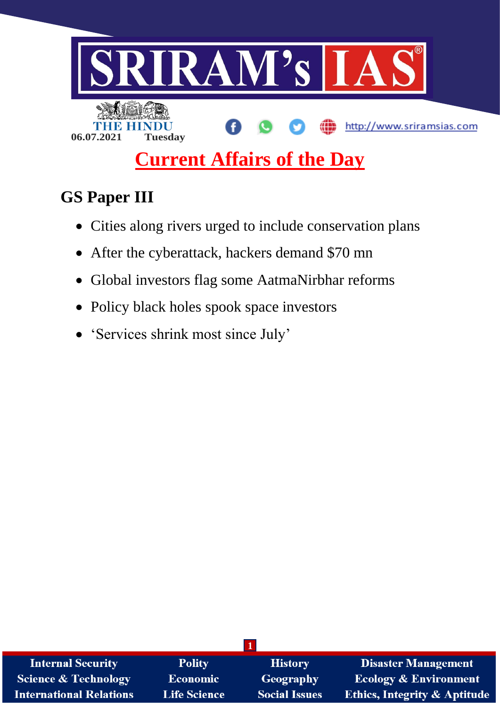

# **Current Affairs of the Day**

# **GS Paper III**

- Cities along rivers urged to include conservation plans
- After the cyberattack, hackers demand \$70 mn
- Global investors flag some AatmaNirbhar reforms
- Policy black holes spook space investors
- 'Services shrink most since July'

| <b>Internal Security</b>        | <b>Polity</b>       | <b>History</b>       | <b>Disaster Management</b>              |
|---------------------------------|---------------------|----------------------|-----------------------------------------|
| <b>Science &amp; Technology</b> | <b>Economic</b>     | Geography            | <b>Ecology &amp; Environment</b>        |
| <b>International Relations</b>  | <b>Life Science</b> | <b>Social Issues</b> | <b>Ethics, Integrity &amp; Aptitude</b> |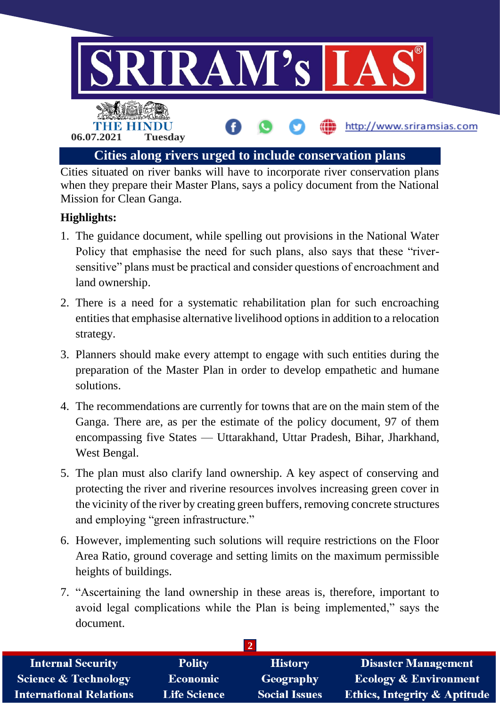

Cities situated on river banks will have to incorporate river conservation plans when they prepare their Master Plans, says a policy document from the National Mission for Clean Ganga.

# **Highlights:**

- 1. The guidance document, while spelling out provisions in the National Water Policy that emphasise the need for such plans, also says that these "riversensitive" plans must be practical and consider questions of encroachment and land ownership.
- 2. There is a need for a systematic rehabilitation plan for such encroaching entities that emphasise alternative livelihood options in addition to a relocation strategy.
- 3. Planners should make every attempt to engage with such entities during the preparation of the Master Plan in order to develop empathetic and humane solutions.
- 4. The recommendations are currently for towns that are on the main stem of the Ganga. There are, as per the estimate of the policy document, 97 of them encompassing five States — Uttarakhand, Uttar Pradesh, Bihar, Jharkhand, West Bengal.
- 5. The plan must also clarify land ownership. A key aspect of conserving and protecting the river and riverine resources involves increasing green cover in the vicinity of the river by creating green buffers, removing concrete structures and employing "green infrastructure."
- 6. However, implementing such solutions will require restrictions on the Floor Area Ratio, ground coverage and setting limits on the maximum permissible heights of buildings.
- 7. "Ascertaining the land ownership in these areas is, therefore, important to avoid legal complications while the Plan is being implemented," says the document.

| <b>Internal Security</b>        | <b>Polity</b>       | <b>History</b>       | <b>Disaster Management</b>              |  |
|---------------------------------|---------------------|----------------------|-----------------------------------------|--|
| <b>Science &amp; Technology</b> | Economic            | Geography            | <b>Ecology &amp; Environment</b>        |  |
| <b>International Relations</b>  | <b>Life Science</b> | <b>Social Issues</b> | <b>Ethics, Integrity &amp; Aptitude</b> |  |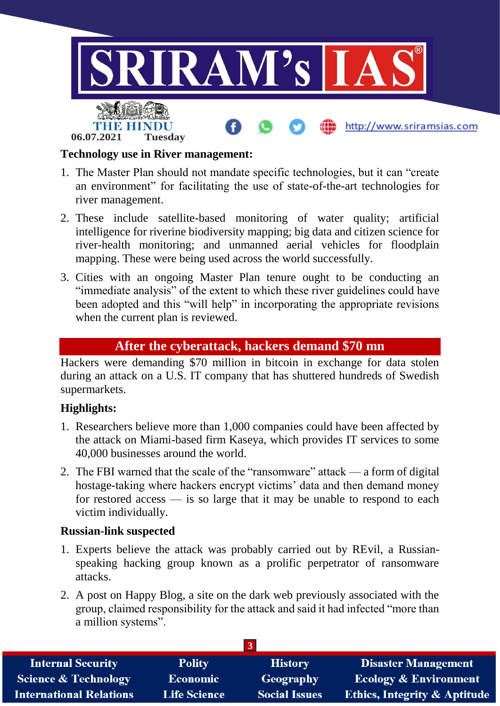

#### **Technology use in River management:**

- 1. The Master Plan should not mandate specific technologies, but it can "create an environment" for facilitating the use of state-of-the-art technologies for river management.
- 2. These include satellite-based monitoring of water quality; artificial intelligence for riverine biodiversity mapping; big data and citizen science for river-health monitoring; and unmanned aerial vehicles for floodplain mapping. These were being used across the world successfully.
- 3. Cities with an ongoing Master Plan tenure ought to be conducting an "immediate analysis" of the extent to which these river guidelines could have been adopted and this "will help" in incorporating the appropriate revisions when the current plan is reviewed.

#### **After the cyberattack, hackers demand \$70 mn**

Hackers were demanding \$70 million in bitcoin in exchange for data stolen during an attack on a U.S. IT company that has shuttered hundreds of Swedish supermarkets.

#### **Highlights:**

- 1. Researchers believe more than 1,000 companies could have been affected by the attack on Miami-based firm Kaseya, which provides IT services to some 40,000 businesses around the world.
- 2. The FBI warned that the scale of the "ransomware" attack a form of digital hostage-taking where hackers encrypt victims' data and then demand money for restored access  $\frac{1}{s}$  is so large that it may be unable to respond to each victim individually.

#### **Russian-link suspected**

- 1. Experts believe the attack was probably carried out by REvil, a Russianspeaking hacking group known as a prolific perpetrator of ransomware attacks.
- 2. A post on Happy Blog, a site on the dark web previously associated with the group, claimed responsibility for the attack and said it had infected "more than a million systems".

| <b>Internal Security</b>        | <b>Polity</b>       | <b>History</b>       | Disaster Management                     |  |
|---------------------------------|---------------------|----------------------|-----------------------------------------|--|
| <b>Science &amp; Technology</b> | <b>Economic</b>     | Geography            | <b>Ecology &amp; Environment</b>        |  |
| <b>International Relations</b>  | <b>Life Science</b> | <b>Social Issues</b> | <b>Ethics, Integrity &amp; Aptitude</b> |  |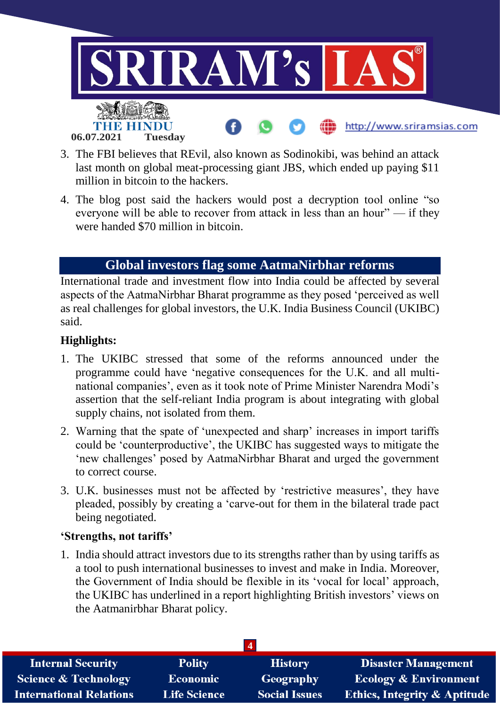

- 3. The FBI believes that REvil, also known as Sodinokibi, was behind an attack last month on global meat-processing giant JBS, which ended up paying \$11 million in bitcoin to the hackers.
- 4. The blog post said the hackers would post a decryption tool online "so everyone will be able to recover from attack in less than an hour" — if they were handed \$70 million in bitcoin.

# **Global investors flag some AatmaNirbhar reforms**

International trade and investment flow into India could be affected by several aspects of the AatmaNirbhar Bharat programme as they posed 'perceived as well as real challenges for global investors, the U.K. India Business Council (UKIBC) said.

#### **Highlights:**

- 1. The UKIBC stressed that some of the reforms announced under the programme could have 'negative consequences for the U.K. and all multinational companies', even as it took note of Prime Minister Narendra Modi's assertion that the self-reliant India program is about integrating with global supply chains, not isolated from them.
- 2. Warning that the spate of 'unexpected and sharp' increases in import tariffs could be 'counterproductive', the UKIBC has suggested ways to mitigate the 'new challenges' posed by AatmaNirbhar Bharat and urged the government to correct course.
- 3. U.K. businesses must not be affected by 'restrictive measures', they have pleaded, possibly by creating a 'carve-out for them in the bilateral trade pact being negotiated.

#### **'Strengths, not tariffs'**

1. India should attract investors due to its strengths rather than by using tariffs as a tool to push international businesses to invest and make in India. Moreover, the Government of India should be flexible in its 'vocal for local' approach, the UKIBC has underlined in a report highlighting British investors' views on the Aatmanirbhar Bharat policy.

| <b>Internal Security</b>        | <b>Polity</b>       | <b>History</b>       | <b>Disaster Management</b>              |
|---------------------------------|---------------------|----------------------|-----------------------------------------|
| <b>Science &amp; Technology</b> | <b>Economic</b>     | Geography            | <b>Ecology &amp; Environment</b>        |
| <b>International Relations</b>  | <b>Life Science</b> | <b>Social Issues</b> | <b>Ethics, Integrity &amp; Aptitude</b> |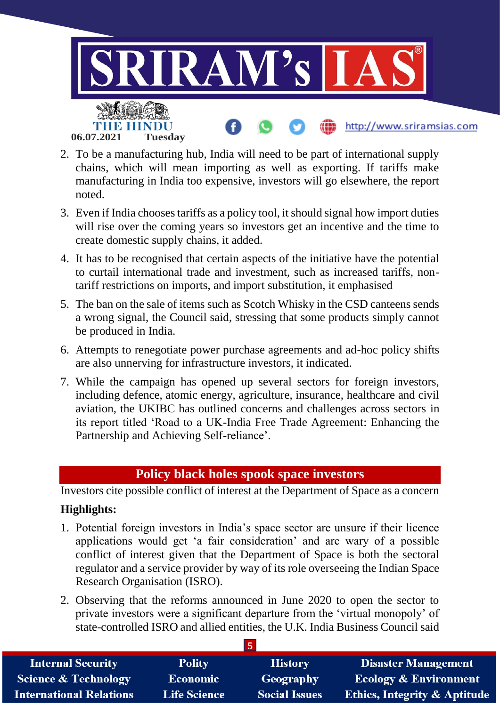

- 2. To be a manufacturing hub, India will need to be part of international supply chains, which will mean importing as well as exporting. If tariffs make manufacturing in India too expensive, investors will go elsewhere, the report noted.
- 3. Even if India chooses tariffs as a policy tool, it should signal how import duties will rise over the coming years so investors get an incentive and the time to create domestic supply chains, it added.
- 4. It has to be recognised that certain aspects of the initiative have the potential to curtail international trade and investment, such as increased tariffs, nontariff restrictions on imports, and import substitution, it emphasised
- 5. The ban on the sale of items such as Scotch Whisky in the CSD canteens sends a wrong signal, the Council said, stressing that some products simply cannot be produced in India.
- 6. Attempts to renegotiate power purchase agreements and ad-hoc policy shifts are also unnerving for infrastructure investors, it indicated.
- 7. While the campaign has opened up several sectors for foreign investors, including defence, atomic energy, agriculture, insurance, healthcare and civil aviation, the UKIBC has outlined concerns and challenges across sectors in its report titled 'Road to a UK-India Free Trade Agreement: Enhancing the Partnership and Achieving Self-reliance'.

# **Policy black holes spook space investors**

Investors cite possible conflict of interest at the Department of Space as a concern

### **Highlights:**

- 1. Potential foreign investors in India's space sector are unsure if their licence applications would get 'a fair consideration' and are wary of a possible conflict of interest given that the Department of Space is both the sectoral regulator and a service provider by way of its role overseeing the Indian Space Research Organisation (ISRO).
- 2. Observing that the reforms announced in June 2020 to open the sector to private investors were a significant departure from the 'virtual monopoly' of state-controlled ISRO and allied entities, the U.K. India Business Council said

| <b>Internal Security</b>        | <b>Polity</b>       | <b>History</b>       | <b>Disaster Management</b>              |  |
|---------------------------------|---------------------|----------------------|-----------------------------------------|--|
| <b>Science &amp; Technology</b> | <b>Economic</b>     | <b>Geography</b>     | <b>Ecology &amp; Environment</b>        |  |
| <b>International Relations</b>  | <b>Life Science</b> | <b>Social Issues</b> | <b>Ethics, Integrity &amp; Aptitude</b> |  |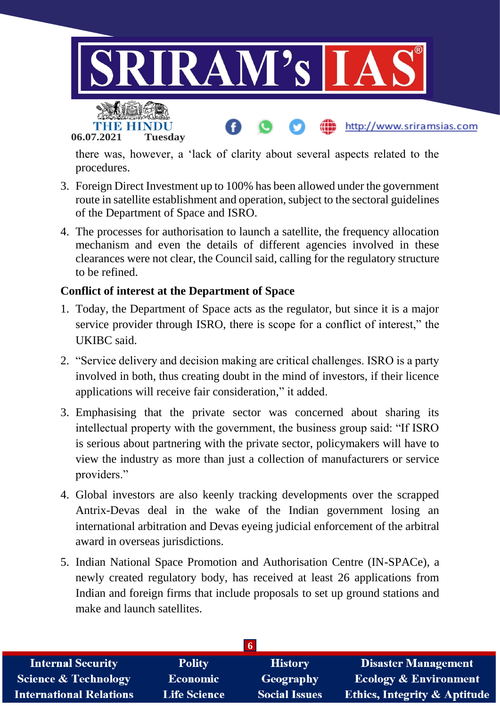

there was, however, a 'lack of clarity about several aspects related to the procedures.

- 3. Foreign Direct Investment up to 100% has been allowed under the government route in satellite establishment and operation, subject to the sectoral guidelines of the Department of Space and ISRO.
- 4. The processes for authorisation to launch a satellite, the frequency allocation mechanism and even the details of different agencies involved in these clearances were not clear, the Council said, calling for the regulatory structure to be refined.

# **Conflict of interest at the Department of Space**

**06.07.2021 Tuesday**

- 1. Today, the Department of Space acts as the regulator, but since it is a major service provider through ISRO, there is scope for a conflict of interest," the UKIBC said.
- 2. "Service delivery and decision making are critical challenges. ISRO is a party involved in both, thus creating doubt in the mind of investors, if their licence applications will receive fair consideration," it added.
- 3. Emphasising that the private sector was concerned about sharing its intellectual property with the government, the business group said: "If ISRO is serious about partnering with the private sector, policymakers will have to view the industry as more than just a collection of manufacturers or service providers."
- 4. Global investors are also keenly tracking developments over the scrapped Antrix-Devas deal in the wake of the Indian government losing an international arbitration and Devas eyeing judicial enforcement of the arbitral award in overseas jurisdictions.
- 5. Indian National Space Promotion and Authorisation Centre (IN-SPACe), a newly created regulatory body, has received at least 26 applications from Indian and foreign firms that include proposals to set up ground stations and make and launch satellites.

| <b>Internal Security</b>        | <b>Polity</b>       | <b>History</b>       | <b>Disaster Management</b>              |  |
|---------------------------------|---------------------|----------------------|-----------------------------------------|--|
| <b>Science &amp; Technology</b> | <b>Economic</b>     | Geography            | <b>Ecology &amp; Environment</b>        |  |
| <b>International Relations</b>  | <b>Life Science</b> | <b>Social Issues</b> | <b>Ethics, Integrity &amp; Aptitude</b> |  |